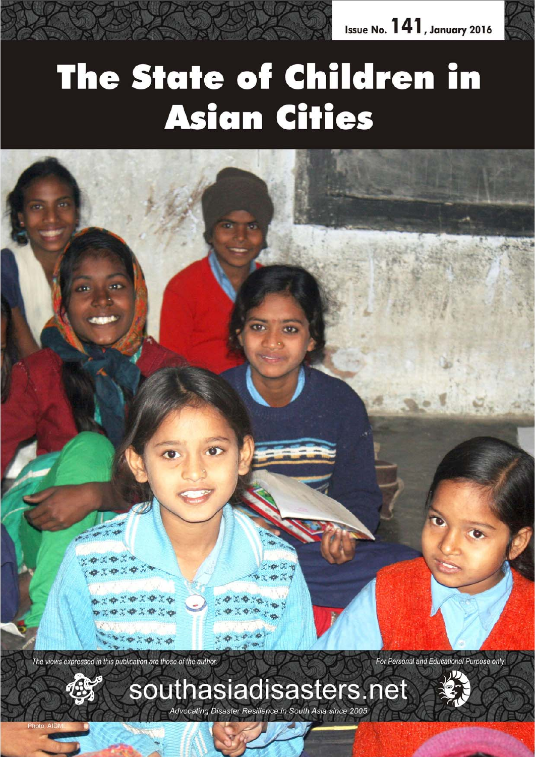

# **The State of Children in Asian Cities**



The views expressed in this publication are those of the author.

For Personal and Educational Purpose only



southasiadisasters.net Advocating Disaster Resilience in South Asia since 2005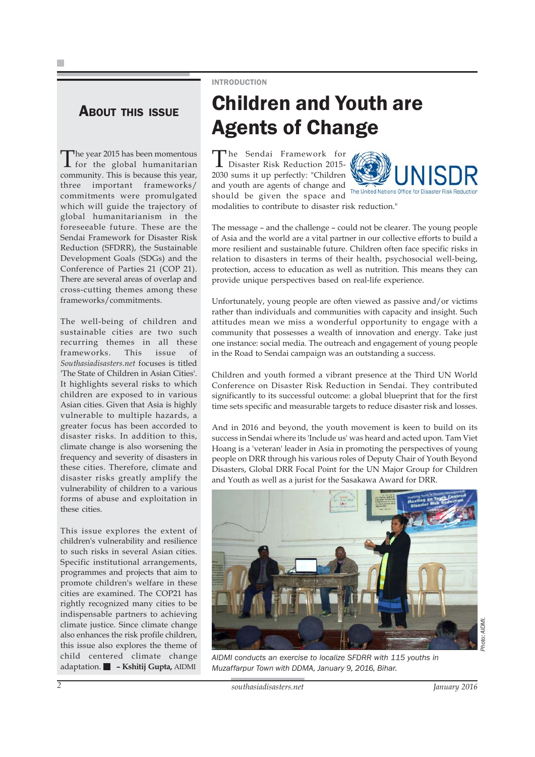### ABOUT THIS ISSUE

The year 2015 has been momentous<br>for the global humanitarian community. This is because this year, three important frameworks/ commitments were promulgated which will guide the trajectory of global humanitarianism in the foreseeable future. These are the Sendai Framework for Disaster Risk Reduction (SFDRR), the Sustainable Development Goals (SDGs) and the Conference of Parties 21 (COP 21). There are several areas of overlap and cross-cutting themes among these frameworks/commitments.

The well-being of children and sustainable cities are two such recurring themes in all these frameworks. This issue of *Southasiadisasters.net* focuses is titled 'The State of Children in Asian Cities'. It highlights several risks to which children are exposed to in various Asian cities. Given that Asia is highly vulnerable to multiple hazards, a greater focus has been accorded to disaster risks. In addition to this, climate change is also worsening the frequency and severity of disasters in these cities. Therefore, climate and disaster risks greatly amplify the vulnerability of children to a various forms of abuse and exploitation in these cities.

This issue explores the extent of children's vulnerability and resilience to such risks in several Asian cities. Specific institutional arrangements, programmes and projects that aim to promote children's welfare in these cities are examined. The COP21 has rightly recognized many cities to be indispensable partners to achieving climate justice. Since climate change also enhances the risk profile children, this issue also explores the theme of child centered climate change adaptation. **– Kshitij Gupta,** AIDMI

### INTRODUCTION

## Children and Youth are Agents of Change

The Sendai Framework for<br>Disaster Risk Reduction 2015-2030 sums it up perfectly: "Children and youth are agents of change and should be given the space and



modalities to contribute to disaster risk reduction."

The message – and the challenge – could not be clearer. The young people of Asia and the world are a vital partner in our collective efforts to build a more resilient and sustainable future. Children often face specific risks in relation to disasters in terms of their health, psychosocial well-being, protection, access to education as well as nutrition. This means they can provide unique perspectives based on real-life experience.

Unfortunately, young people are often viewed as passive and/or victims rather than individuals and communities with capacity and insight. Such attitudes mean we miss a wonderful opportunity to engage with a community that possesses a wealth of innovation and energy. Take just one instance: social media. The outreach and engagement of young people in the Road to Sendai campaign was an outstanding a success.

Children and youth formed a vibrant presence at the Third UN World Conference on Disaster Risk Reduction in Sendai. They contributed significantly to its successful outcome: a global blueprint that for the first time sets specific and measurable targets to reduce disaster risk and losses.

And in 2016 and beyond, the youth movement is keen to build on its success in Sendai where its 'Include us' was heard and acted upon. Tam Viet Hoang is a 'veteran' leader in Asia in promoting the perspectives of young people on DRR through his various roles of Deputy Chair of Youth Beyond Disasters, Global DRR Focal Point for the UN Major Group for Children and Youth as well as a jurist for the Sasakawa Award for DRR.



*AIDMI conducts an exercise to localize SFDRR with 115 youths in Muzaffarpur Town with DDMA, January 9, 2016, Bihar.*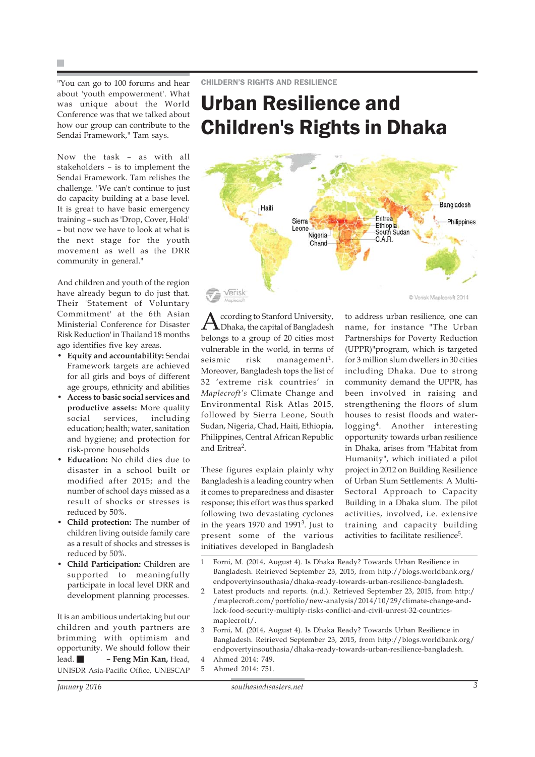"You can go to 100 forums and hear about 'youth empowerment'. What was unique about the World Conference was that we talked about how our group can contribute to the Sendai Framework," Tam says.

Now the task – as with all stakeholders – is to implement the Sendai Framework. Tam relishes the challenge. "We can't continue to just do capacity building at a base level. It is great to have basic emergency training – such as 'Drop, Cover, Hold' – but now we have to look at what is the next stage for the youth movement as well as the DRR community in general."

And children and youth of the region have already begun to do just that. Their 'Statement of Voluntary Commitment' at the 6th Asian Ministerial Conference for Disaster Risk Reduction' in Thailand 18 months ago identifies five key areas.

- **Equity and accountability:** Sendai Framework targets are achieved for all girls and boys of different age groups, ethnicity and abilities
- **Access to basic social services and productive assets:** More quality social services, including education; health; water, sanitation and hygiene; and protection for risk-prone households
- **Education:** No child dies due to disaster in a school built or modified after 2015; and the number of school days missed as a result of shocks or stresses is reduced by 50%.
- **Child protection:** The number of children living outside family care as a result of shocks and stresses is reduced by 50%.
- **Child Participation:** Children are supported to meaningfully participate in local level DRR and development planning processes.

It is an ambitious undertaking but our children and youth partners are brimming with optimism and opportunity. We should follow their lead. **– Feng Min Kan,** Head, UNISDR Asia-Pacific Office, UNESCAP

### Urban Resilience and Children's Rights in Dhaka



ccording to Stanford University, Dhaka, the capital of Bangladesh belongs to a group of 20 cities most vulnerable in the world, in terms of seismic  $risk$  management<sup>1</sup>. Moreover, Bangladesh tops the list of 32 'extreme risk countries' in *Maplecroft's* Climate Change and Environmental Risk Atlas 2015, followed by Sierra Leone, South Sudan, Nigeria, Chad, Haiti, Ethiopia, Philippines, Central African Republic and Eritrea2.

These figures explain plainly why Bangladesh is a leading country when it comes to preparedness and disaster response; this effort was thus sparked following two devastating cyclones in the years 1970 and 1991<sup>3</sup>. Just to present some of the various initiatives developed in Bangladesh

to address urban resilience, one can name, for instance "The Urban Partnerships for Poverty Reduction (UPPR)"program, which is targeted for 3 million slum dwellers in 30 cities including Dhaka. Due to strong community demand the UPPR, has been involved in raising and strengthening the floors of slum houses to resist floods and waterlogging4. Another interesting opportunity towards urban resilience in Dhaka, arises from "Habitat from Humanity", which initiated a pilot project in 2012 on Building Resilience of Urban Slum Settlements: A Multi-Sectoral Approach to Capacity Building in a Dhaka slum. The pilot activities, involved, i.e. extensive training and capacity building activities to facilitate resilience<sup>5</sup>.

- 1 Forni, M. (2014, August 4). Is Dhaka Ready? Towards Urban Resilience in Bangladesh. Retrieved September 23, 2015, from http://blogs.worldbank.org/ endpovertyinsouthasia/dhaka-ready-towards-urban-resilience-bangladesh.
- 2 Latest products and reports. (n.d.). Retrieved September 23, 2015, from http:/ /maplecroft.com/portfolio/new-analysis/2014/10/29/climate-change-andlack-food-security-multiply-risks-conflict-and-civil-unrest-32-countriesmaplecroft/.
- 3 Forni, M. (2014, August 4). Is Dhaka Ready? Towards Urban Resilience in Bangladesh. Retrieved September 23, 2015, from http://blogs.worldbank.org/ endpovertyinsouthasia/dhaka-ready-towards-urban-resilience-bangladesh. 4 Ahmed 2014: 749.
- 5 Ahmed 2014: 751.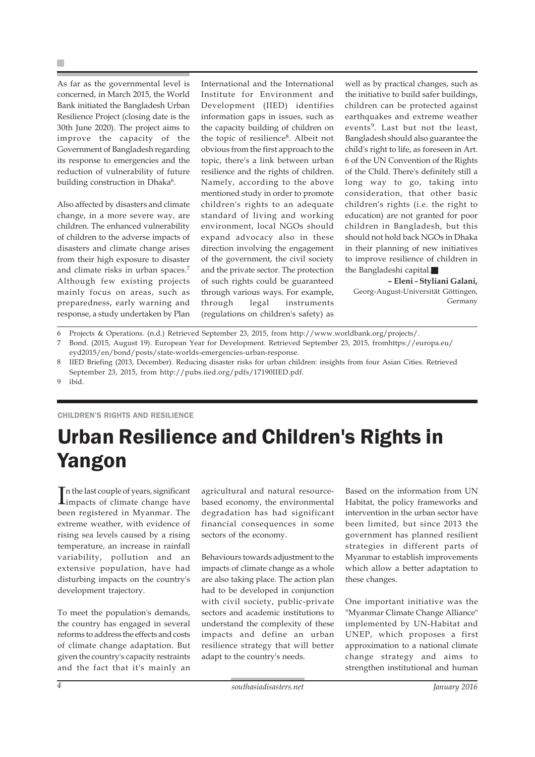As far as the governmental level is concerned, in March 2015, the World Bank initiated the Bangladesh Urban Resilience Project (closing date is the 30th June 2020). The project aims to improve the capacity of the Government of Bangladesh regarding its response to emergencies and the reduction of vulnerability of future building construction in Dhaka<sup>6</sup>.

Also affected by disasters and climate change, in a more severe way, are children. The enhanced vulnerability of children to the adverse impacts of disasters and climate change arises from their high exposure to disaster and climate risks in urban spaces.<sup>7</sup> Although few existing projects mainly focus on areas, such as preparedness, early warning and response, a study undertaken by Plan International and the International Institute for Environment and Development (IIED) identifies information gaps in issues, such as the capacity building of children on the topic of resilience<sup>8</sup>. Albeit not obvious from the first approach to the topic, there's a link between urban resilience and the rights of children. Namely, according to the above mentioned study in order to promote children's rights to an adequate standard of living and working environment, local NGOs should expand advocacy also in these direction involving the engagement of the government, the civil society and the private sector. The protection of such rights could be guaranteed through various ways. For example, through legal instruments (regulations on children's safety) as well as by practical changes, such as the initiative to build safer buildings, children can be protected against earthquakes and extreme weather events<sup>9</sup>. Last but not the least, Bangladesh should also guarantee the child's right to life, as foreseen in Art. 6 of the UN Convention of the Rights of the Child. There's definitely still a long way to go, taking into consideration, that other basic children's rights (i.e. the right to education) are not granted for poor children in Bangladesh, but this should not hold back NGOs in Dhaka in their planning of new initiatives to improve resilience of children in the Bangladeshi capital.

**– Eleni - Styliani Galani,** Georg-August-Universität Göttingen, Germany

- 6 Projects & Operations. (n.d.) Retrieved September 23, 2015, from http://www.worldbank.org/projects/.
- 7 Bond. (2015, August 19). European Year for Development. Retrieved September 23, 2015, fromhttps://europa.eu/ eyd2015/en/bond/posts/state-worlds-emergencies-urban-response.
- 8 IIED Briefing (2013, December). Reducing disaster risks for urban children: insights from four Asian Cities. Retrieved September 23, 2015, from http://pubs.iied.org/pdfs/17190IIED.pdf.

9 ibid.

#### CHILDREN'S RIGHTS AND RESILIENCE

# Urban Resilience and Children's Rights in Yangon

In the last couple of years, significant<br>impacts of climate change have impacts of climate change have been registered in Myanmar. The extreme weather, with evidence of rising sea levels caused by a rising temperature, an increase in rainfall variability, pollution and an extensive population, have had disturbing impacts on the country's development trajectory.

To meet the population's demands, the country has engaged in several reforms to address the effects and costs of climate change adaptation. But given the country's capacity restraints and the fact that it's mainly an agricultural and natural resourcebased economy, the environmental degradation has had significant financial consequences in some sectors of the economy.

Behaviours towards adjustment to the impacts of climate change as a whole are also taking place. The action plan had to be developed in conjunction with civil society, public-private sectors and academic institutions to understand the complexity of these impacts and define an urban resilience strategy that will better adapt to the country's needs.

Based on the information from UN Habitat, the policy frameworks and intervention in the urban sector have been limited, but since 2013 the government has planned resilient strategies in different parts of Myanmar to establish improvements which allow a better adaptation to these changes.

One important initiative was the "Myanmar Climate Change Alliance" implemented by UN-Habitat and UNEP, which proposes a first approximation to a national climate change strategy and aims to strengthen institutional and human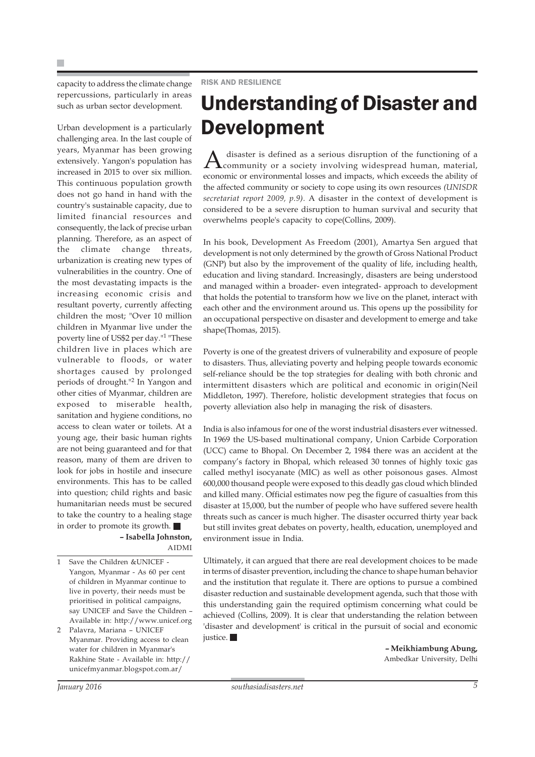capacity to address the climate change repercussions, particularly in areas such as urban sector development.

Urban development is a particularly challenging area. In the last couple of years, Myanmar has been growing extensively. Yangon's population has increased in 2015 to over six million. This continuous population growth does not go hand in hand with the country's sustainable capacity, due to limited financial resources and consequently, the lack of precise urban planning. Therefore, as an aspect of the climate change threats, urbanization is creating new types of vulnerabilities in the country. One of the most devastating impacts is the increasing economic crisis and resultant poverty, currently affecting children the most; "Over 10 million children in Myanmar live under the poverty line of US\$2 per day."1 "These children live in places which are vulnerable to floods, or water shortages caused by prolonged periods of drought."2 In Yangon and other cities of Myanmar, children are exposed to miserable health, sanitation and hygiene conditions, no access to clean water or toilets. At a young age, their basic human rights are not being guaranteed and for that reason, many of them are driven to look for jobs in hostile and insecure environments. This has to be called into question; child rights and basic humanitarian needs must be secured to take the country to a healing stage in order to promote its growth.

**– Isabella Johnston,** AIDMI

Save the Children &UNICEF -Yangon, Myanmar - As 60 per cent of children in Myanmar continue to live in poverty, their needs must be prioritised in political campaigns, say UNICEF and Save the Children – Available in: http://www.unicef.org

2 Palavra, Mariana – UNICEF Myanmar. Providing access to clean water for children in Myanmar's Rakhine State - Available in: http:// unicefmyanmar.blogspot.com.ar/

### Understanding of Disaster and Development

A disaster is defined as a serious disruption of the functioning of a community or a society involving widespread human, material, economic or environmental losses and impacts, which exceeds the ability of the affected community or society to cope using its own resources *(UNISDR secretariat report 2009, p.9).* A disaster in the context of development is considered to be a severe disruption to human survival and security that overwhelms people's capacity to cope(Collins, 2009).

In his book, Development As Freedom (2001), Amartya Sen argued that development is not only determined by the growth of Gross National Product (GNP) but also by the improvement of the quality of life, including health, education and living standard. Increasingly, disasters are being understood and managed within a broader- even integrated- approach to development that holds the potential to transform how we live on the planet, interact with each other and the environment around us. This opens up the possibility for an occupational perspective on disaster and development to emerge and take shape(Thomas, 2015).

Poverty is one of the greatest drivers of vulnerability and exposure of people to disasters. Thus, alleviating poverty and helping people towards economic self-reliance should be the top strategies for dealing with both chronic and intermittent disasters which are political and economic in origin(Neil Middleton, 1997). Therefore, holistic development strategies that focus on poverty alleviation also help in managing the risk of disasters.

India is also infamous for one of the worst industrial disasters ever witnessed. In 1969 the US-based multinational company, Union Carbide Corporation (UCC) came to Bhopal. On December 2, 1984 there was an accident at the company's factory in Bhopal, which released 30 tonnes of highly toxic gas called methyl isocyanate (MIC) as well as other poisonous gases. Almost 600,000 thousand people were exposed to this deadly gas cloud which blinded and killed many. Official estimates now peg the figure of casualties from this disaster at 15,000, but the number of people who have suffered severe health threats such as cancer is much higher. The disaster occurred thirty year back but still invites great debates on poverty, health, education, unemployed and environment issue in India.

Ultimately, it can argued that there are real development choices to be made in terms of disaster prevention, including the chance to shape human behavior and the institution that regulate it. There are options to pursue a combined disaster reduction and sustainable development agenda, such that those with this understanding gain the required optimism concerning what could be achieved (Collins, 2009). It is clear that understanding the relation between 'disaster and development' is critical in the pursuit of social and economic justice.

> **– Meikhiambung Abung,** Ambedkar University, Delhi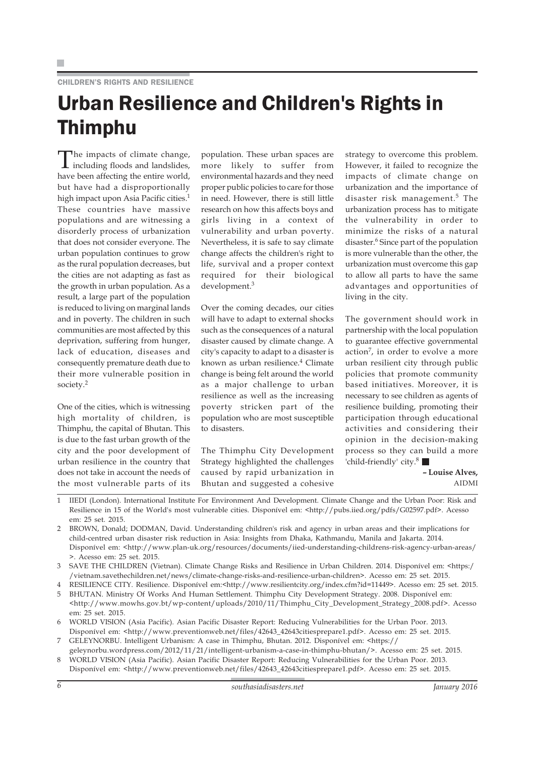### CHILDREN'S RIGHTS AND RESILIENCE

### Urban Resilience and Children's Rights in Thimphu

The impacts of climate change, including floods and landslides, have been affecting the entire world, but have had a disproportionally high impact upon Asia Pacific cities.<sup>1</sup> These countries have massive populations and are witnessing a disorderly process of urbanization that does not consider everyone. The urban population continues to grow as the rural population decreases, but the cities are not adapting as fast as the growth in urban population. As a result, a large part of the population is reduced to living on marginal lands and in poverty. The children in such communities are most affected by this deprivation, suffering from hunger, lack of education, diseases and consequently premature death due to their more vulnerable position in society.<sup>2</sup>

One of the cities, which is witnessing high mortality of children, is Thimphu, the capital of Bhutan. This is due to the fast urban growth of the city and the poor development of urban resilience in the country that does not take in account the needs of the most vulnerable parts of its

population. These urban spaces are more likely to suffer from environmental hazards and they need proper public policies to care for those in need. However, there is still little research on how this affects boys and girls living in a context of vulnerability and urban poverty. Nevertheless, it is safe to say climate change affects the children's right to life, survival and a proper context required for their biological development.3

Over the coming decades, our cities will have to adapt to external shocks such as the consequences of a natural disaster caused by climate change. A city's capacity to adapt to a disaster is known as urban resilience.<sup>4</sup> Climate change is being felt around the world as a major challenge to urban resilience as well as the increasing poverty stricken part of the population who are most susceptible to disasters.

The Thimphu City Development Strategy highlighted the challenges caused by rapid urbanization in Bhutan and suggested a cohesive

strategy to overcome this problem. However, it failed to recognize the impacts of climate change on urbanization and the importance of disaster risk management.<sup>5</sup> The urbanization process has to mitigate the vulnerability in order to minimize the risks of a natural disaster.<sup>6</sup> Since part of the population is more vulnerable than the other, the urbanization must overcome this gap to allow all parts to have the same advantages and opportunities of living in the city.

The government should work in partnership with the local population to guarantee effective governmental action<sup>7</sup>, in order to evolve a more urban resilient city through public policies that promote community based initiatives. Moreover, it is necessary to see children as agents of resilience building, promoting their participation through educational activities and considering their opinion in the decision-making process so they can build a more 'child-friendly' city.8

**– Louise Alves,** AIDMI

- 1 IIEDI (London). International Institute For Environment And Development. Climate Change and the Urban Poor: Risk and Resilience in 15 of the World's most vulnerable cities. Disponível em: <http://pubs.iied.org/pdfs/G02597.pdf>. Acesso em: 25 set. 2015.
- 2 BROWN, Donald; DODMAN, David. Understanding children's risk and agency in urban areas and their implications for child-centred urban disaster risk reduction in Asia: Insights from Dhaka, Kathmandu, Manila and Jakarta. 2014. Disponível em: <http://www.plan-uk.org/resources/documents/iied-understanding-childrens-risk-agency-urban-areas/ >. Acesso em: 25 set. 2015.
- 3 SAVE THE CHILDREN (Vietnan). Climate Change Risks and Resilience in Urban Children. 2014. Disponível em: <https:/ /vietnam.savethechildren.net/news/climate-change-risks-and-resilience-urban-children>. Acesso em: 25 set. 2015.
- 4 RESILIENCE CITY. Resilience. Disponível em:<http://www.resilientcity.org/index.cfm?id=11449>. Acesso em: 25 set. 2015.
- 5 BHUTAN. Ministry Of Works And Human Settlement. Thimphu City Development Strategy. 2008. Disponível em: <http://www.mowhs.gov.bt/wp-content/uploads/2010/11/Thimphu\_City\_Development\_Strategy\_2008.pdf>. Acesso em: 25 set. 2015.
- 6 WORLD VISION (Asia Pacific). Asian Pacific Disaster Report: Reducing Vulnerabilities for the Urban Poor. 2013. Disponível em: <http://www.preventionweb.net/files/42643\_42643citiesprepare1.pdf>. Acesso em: 25 set. 2015.
- 7 GELEYNORBU. Intelligent Urbanism: A case in Thimphu, Bhutan. 2012. Disponível em: <https://
- geleynorbu.wordpress.com/2012/11/21/intelligent-urbanism-a-case-in-thimphu-bhutan/>. Acesso em: 25 set. 2015. 8 WORLD VISION (Asia Pacific). Asian Pacific Disaster Report: Reducing Vulnerabilities for the Urban Poor. 2013.
- Disponível em: <http://www.preventionweb.net/files/42643\_42643citiesprepare1.pdf>. Acesso em: 25 set. 2015.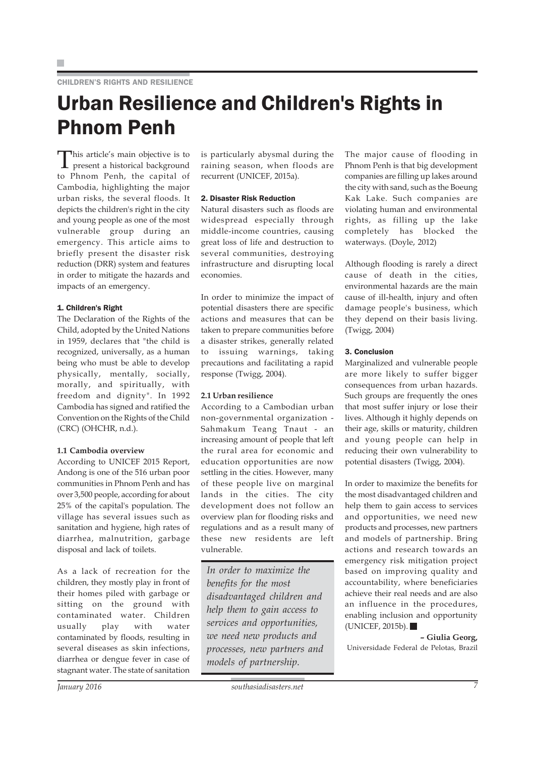### Urban Resilience and Children's Rights in Phnom Penh

This article's main objective is to present a historical background to Phnom Penh, the capital of Cambodia, highlighting the major urban risks, the several floods. It depicts the children's right in the city and young people as one of the most vulnerable group during an emergency. This article aims to briefly present the disaster risk reduction (DRR) system and features in order to mitigate the hazards and impacts of an emergency.

#### 1. Children's Right

The Declaration of the Rights of the Child, adopted by the United Nations in 1959, declares that "the child is recognized, universally, as a human being who must be able to develop physically, mentally, socially, morally, and spiritually, with freedom and dignity". In 1992 Cambodia has signed and ratified the Convention on the Rights of the Child (CRC) (OHCHR, n.d.).

#### **1.1 Cambodia overview**

According to UNICEF 2015 Report, Andong is one of the 516 urban poor communities in Phnom Penh and has over 3,500 people, according for about 25% of the capital's population. The village has several issues such as sanitation and hygiene, high rates of diarrhea, malnutrition, garbage disposal and lack of toilets.

As a lack of recreation for the children, they mostly play in front of their homes piled with garbage or sitting on the ground with contaminated water. Children usually play with water contaminated by floods, resulting in several diseases as skin infections, diarrhea or dengue fever in case of stagnant water. The state of sanitation is particularly abysmal during the raining season, when floods are recurrent (UNICEF, 2015a).

#### 2. Disaster Risk Reduction

Natural disasters such as floods are widespread especially through middle-income countries, causing great loss of life and destruction to several communities, destroying infrastructure and disrupting local economies.

In order to minimize the impact of potential disasters there are specific actions and measures that can be taken to prepare communities before a disaster strikes, generally related to issuing warnings, taking precautions and facilitating a rapid response (Twigg, 2004).

#### **2.1 Urban resilience**

According to a Cambodian urban non-governmental organization - Sahmakum Teang Tnaut - an increasing amount of people that left the rural area for economic and education opportunities are now settling in the cities. However, many of these people live on marginal lands in the cities. The city development does not follow an overview plan for flooding risks and regulations and as a result many of these new residents are left vulnerable.

*In order to maximize the benefits for the most disadvantaged children and help them to gain access to services and opportunities, we need new products and processes, new partners and models of partnership.*

The major cause of flooding in Phnom Penh is that big development companies are filling up lakes around the city with sand, such as the Boeung Kak Lake. Such companies are violating human and environmental rights, as filling up the lake completely has blocked the waterways. (Doyle, 2012)

Although flooding is rarely a direct cause of death in the cities, environmental hazards are the main cause of ill-health, injury and often damage people's business, which they depend on their basis living. (Twigg, 2004)

#### 3. Conclusion

Marginalized and vulnerable people are more likely to suffer bigger consequences from urban hazards. Such groups are frequently the ones that most suffer injury or lose their lives. Although it highly depends on their age, skills or maturity, children and young people can help in reducing their own vulnerability to potential disasters (Twigg, 2004).

In order to maximize the benefits for the most disadvantaged children and help them to gain access to services and opportunities, we need new products and processes, new partners and models of partnership. Bring actions and research towards an emergency risk mitigation project based on improving quality and accountability, where beneficiaries achieve their real needs and are also an influence in the procedures, enabling inclusion and opportunity (UNICEF, 2015b).

**– Giulia Georg,** Universidade Federal de Pelotas, Brazil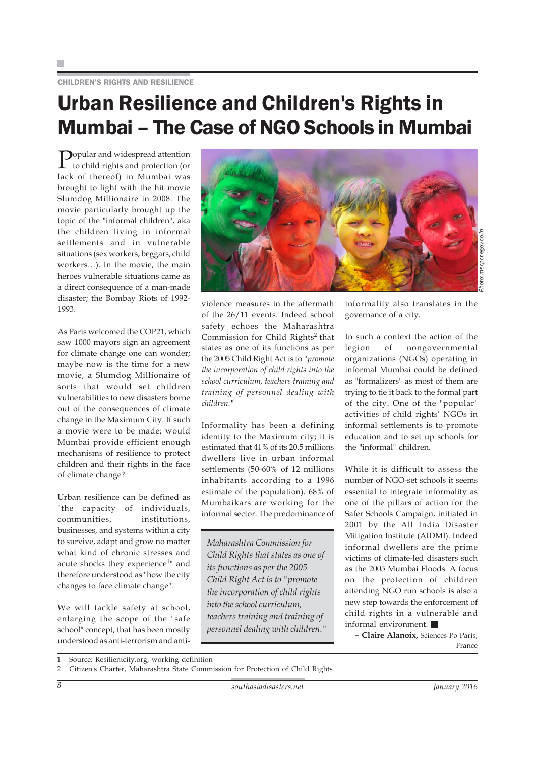CHILDREN'S RIGHTS AND RESILIENCE

### Urban Resilience and Children's Rights in Mumbai – The Case of NGO Schools in Mumbai

 $\sum_{\text{to ch.} (1,1)}$ to child rights and protection (or lack of thereof) in Mumbai was brought to light with the hit movie Slumdog Millionaire in 2008. The movie particularly brought up the topic of the "informal children", aka the children living in informal settlements and in vulnerable situations (sex workers, beggars, child workers…). In the movie, the main heroes vulnerable situations came as a direct consequence of a man-made disaster; the Bombay Riots of 1992- 1993.

As Paris welcomed the COP21, which saw 1000 mayors sign an agreement for climate change one can wonder; maybe now is the time for a new movie, a Slumdog Millionaire of sorts that would set children vulnerabilities to new disasters borne out of the consequences of climate change in the Maximum City. If such a movie were to be made; would Mumbai provide efficient enough mechanisms of resilience to protect children and their rights in the face of climate change?

Urban resilience can be defined as "the capacity of individuals, communities, institutions, businesses, and systems within a city to survive, adapt and grow no matter what kind of chronic stresses and acute shocks they experience<sup>1</sup>" and therefore understood as "how the city changes to face climate change".

We will tackle safety at school, enlarging the scope of the "safe school" concept, that has been mostly understood as anti-terrorism and anti-



*Photo: mscpcr.egov.co.in* mscpcr.egov.co

violence measures in the aftermath of the 26/11 events. Indeed school safety echoes the Maharashtra Commission for Child Rights<sup>2</sup> that states as one of its functions as per the 2005 Child Right Act is to *"promote the incorporation of child rights into the school curriculum, teachers training and training of personnel dealing with children."*

Informality has been a defining identity to the Maximum city; it is estimated that 41% of its 20.5 millions dwellers live in urban informal settlements (50-60% of 12 millions inhabitants according to a 1996 estimate of the population). 68% of Mumbaikars are working for the informal sector. The predominance of

*Maharashtra Commission for Child Rights that states as one of its functions as per the 2005 Child Right Act is to "promote the incorporation of child rights into the school curriculum, teachers training and training of personnel dealing with children."*

informality also translates in the governance of a city.

In such a context the action of the legion of nongovernmental organizations (NGOs) operating in informal Mumbai could be defined as "formalizers" as most of them are trying to tie it back to the formal part of the city. One of the "popular" activities of child rights' NGOs in informal settlements is to promote education and to set up schools for the "informal" children.

While it is difficult to assess the number of NGO-set schools it seems essential to integrate informality as one of the pillars of action for the Safer Schools Campaign, initiated in 2001 by the All India Disaster Mitigation Institute (AIDMI). Indeed informal dwellers are the prime victims of climate-led disasters such as the 2005 Mumbai Floods. A focus on the protection of children attending NGO run schools is also a new step towards the enforcement of child rights in a vulnerable and informal environment.

**– Claire Alanoix,** Sciences Po Paris, France

<sup>1</sup> Source: Resilientcity.org, working definition

<sup>2</sup> Citizen's Charter, Maharashtra State Commission for Protection of Child Rights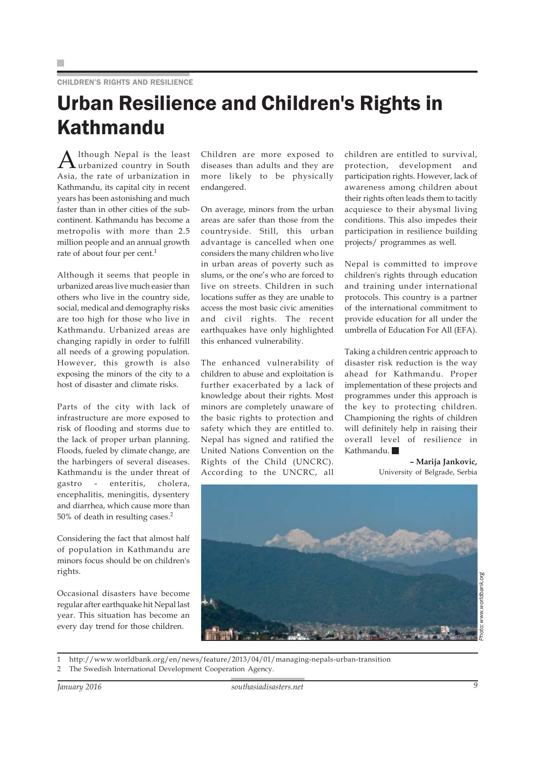### Urban Resilience and Children's Rights in Kathmandu

A lthough Nepal is the least<br>urbanized country in South Asia, the rate of urbanization in Kathmandu, its capital city in recent years has been astonishing and much faster than in other cities of the subcontinent. Kathmandu has become a metropolis with more than 2.5 million people and an annual growth rate of about four per cent.<sup>1</sup>

Although it seems that people in urbanized areas live much easier than others who live in the country side, social, medical and demography risks are too high for those who live in Kathmandu. Urbanized areas are changing rapidly in order to fulfill all needs of a growing population. However, this growth is also exposing the minors of the city to a host of disaster and climate risks.

Parts of the city with lack of infrastructure are more exposed to risk of flooding and storms due to the lack of proper urban planning. Floods, fueled by climate change, are the harbingers of several diseases. Kathmandu is the under threat of gastro - enteritis, cholera, encephalitis, meningitis, dysentery and diarrhea, which cause more than 50% of death in resulting cases.2

Considering the fact that almost half of population in Kathmandu are minors focus should be on children's rights.

Occasional disasters have become regular after earthquake hit Nepal last year. This situation has become an every day trend for those children.

Children are more exposed to diseases than adults and they are more likely to be physically endangered.

On average, minors from the urban areas are safer than those from the countryside. Still, this urban advantage is cancelled when one considers the many children who live in urban areas of poverty such as slums, or the one's who are forced to live on streets. Children in such locations suffer as they are unable to access the most basic civic amenities and civil rights. The recent earthquakes have only highlighted this enhanced vulnerability.

The enhanced vulnerability of children to abuse and exploitation is further exacerbated by a lack of knowledge about their rights. Most minors are completely unaware of the basic rights to protection and safety which they are entitled to. Nepal has signed and ratified the United Nations Convention on the Rights of the Child (UNCRC). According to the UNCRC, all children are entitled to survival, protection, development and participation rights. However, lack of awareness among children about their rights often leads them to tacitly acquiesce to their abysmal living conditions. This also impedes their participation in resilience building projects/ programmes as well.

Nepal is committed to improve children's rights through education and training under international protocols. This country is a partner of the international commitment to provide education for all under the umbrella of Education For All (EFA).

Taking a children centric approach to disaster risk reduction is the way ahead for Kathmandu. Proper implementation of these projects and programmes under this approach is the key to protecting children. Championing the rights of children will definitely help in raising their overall level of resilience in Kathmandu.

> **– Marija Jankovic,** University of Belgrade, Serbia



*Photo: www.worldbank.org*ww.worldbank.org

1 http://www.worldbank.org/en/news/feature/2013/04/01/managing-nepals-urban-transition

The Swedish International Development Cooperation Agency.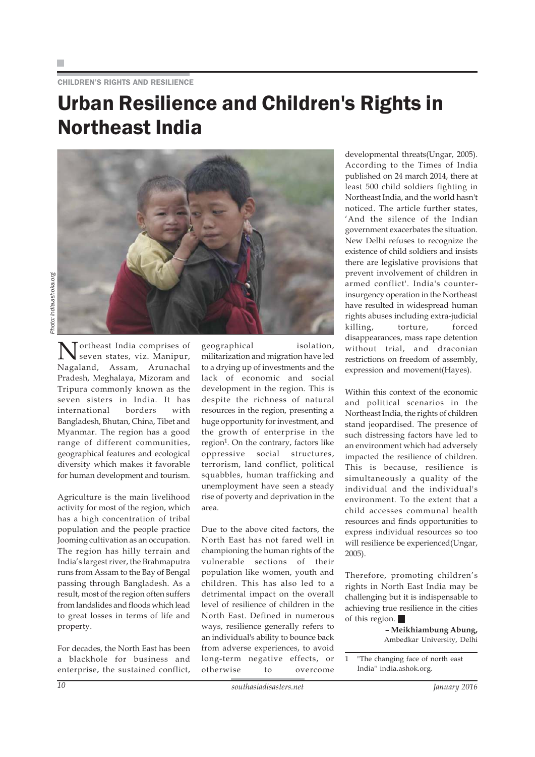#### CHILDREN'S RIGHTS AND RESILIENCE

### Urban Resilience and Children's Rights in Northeast India

Photo: india.ashoka.org *Photo: india.ashoka.org*

> ortheast India comprises of seven states, viz. Manipur, Nagaland, Assam, Arunachal Pradesh, Meghalaya, Mizoram and Tripura commonly known as the seven sisters in India. It has international borders with Bangladesh, Bhutan, China, Tibet and Myanmar. The region has a good range of different communities, geographical features and ecological diversity which makes it favorable for human development and tourism.

> Agriculture is the main livelihood activity for most of the region, which has a high concentration of tribal population and the people practice Jooming cultivation as an occupation. The region has hilly terrain and India's largest river, the Brahmaputra runs from Assam to the Bay of Bengal passing through Bangladesh. As a result, most of the region often suffers from landslides and floods which lead to great losses in terms of life and property.

> For decades, the North East has been a blackhole for business and enterprise, the sustained conflict,

geographical isolation, militarization and migration have led to a drying up of investments and the lack of economic and social development in the region. This is despite the richness of natural resources in the region, presenting a huge opportunity for investment, and the growth of enterprise in the  $region<sup>1</sup>$ . On the contrary, factors like oppressive social structures, terrorism, land conflict, political squabbles, human trafficking and unemployment have seen a steady rise of poverty and deprivation in the area.

Due to the above cited factors, the North East has not fared well in championing the human rights of the vulnerable sections of their population like women, youth and children. This has also led to a detrimental impact on the overall level of resilience of children in the North East. Defined in numerous ways, resilience generally refers to an individual's ability to bounce back from adverse experiences, to avoid long-term negative effects, or otherwise to overcome developmental threats(Ungar, 2005). According to the Times of India published on 24 march 2014, there at least 500 child soldiers fighting in Northeast India, and the world hasn't noticed. The article further states, 'And the silence of the Indian government exacerbates the situation. New Delhi refuses to recognize the existence of child soldiers and insists there are legislative provisions that prevent involvement of children in armed conflict'. India's counterinsurgency operation in the Northeast have resulted in widespread human rights abuses including extra-judicial killing, torture, forced disappearances, mass rape detention without trial, and draconian restrictions on freedom of assembly, expression and movement(Hayes).

Within this context of the economic and political scenarios in the Northeast India, the rights of children stand jeopardised. The presence of such distressing factors have led to an environment which had adversely impacted the resilience of children. This is because, resilience is simultaneously a quality of the individual and the individual's environment. To the extent that a child accesses communal health resources and finds opportunities to express individual resources so too will resilience be experienced(Ungar, 2005).

Therefore, promoting children's rights in North East India may be challenging but it is indispensable to achieving true resilience in the cities of this region.

> **– Meikhiambung Abung,** Ambedkar University, Delhi



<sup>1 &</sup>quot;The changing face of north east India" india.ashok.org.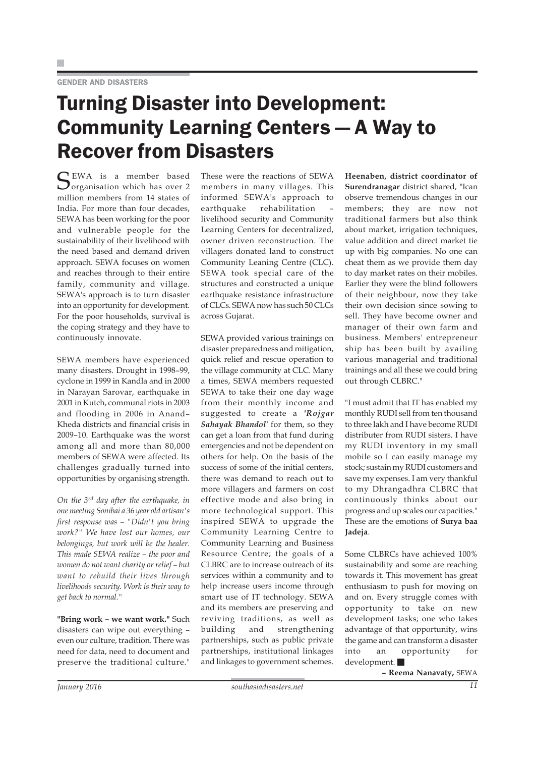## Turning Disaster into Development: Community Learning Centers — A Way to Recover from Disasters

SEWA is a member based<br>Sorganisation which has over 2 million members from 14 states of India. For more than four decades, SEWA has been working for the poor and vulnerable people for the sustainability of their livelihood with the need based and demand driven approach. SEWA focuses on women and reaches through to their entire family, community and village. SEWA's approach is to turn disaster into an opportunity for development. For the poor households, survival is the coping strategy and they have to continuously innovate.

SEWA members have experienced many disasters. Drought in 1998–99, cyclone in 1999 in Kandla and in 2000 in Narayan Sarovar, earthquake in 2001 in Kutch, communal riots in 2003 and flooding in 2006 in Anand– Kheda districts and financial crisis in 2009–10. Earthquake was the worst among all and more than 80,000 members of SEWA were affected. Its challenges gradually turned into opportunities by organising strength.

*On the 3rd day after the earthquake, in one meeting Sonibai a 36 year old artisan's first response was – "Didn't you bring work?" We have lost our homes, our belongings, but work will be the healer. This made SEWA realize – the poor and women do not want charity or relief – but want to rebuild their lives through livelihoods security. Work is their way to get back to normal."*

**"Bring work – we want work."** Such disasters can wipe out everything – even our culture, tradition. There was need for data, need to document and preserve the traditional culture."

These were the reactions of SEWA members in many villages. This informed SEWA's approach to earthquake rehabilitation – livelihood security and Community Learning Centers for decentralized, owner driven reconstruction. The villagers donated land to construct Community Leaning Centre (CLC). SEWA took special care of the structures and constructed a unique earthquake resistance infrastructure of CLCs. SEWA now has such 50 CLCs across Gujarat.

SEWA provided various trainings on disaster preparedness and mitigation, quick relief and rescue operation to the village community at CLC. Many a times, SEWA members requested SEWA to take their one day wage from their monthly income and suggested to create a *'Rojgar Sahayak Bhandol'* for them, so they can get a loan from that fund during emergencies and not be dependent on others for help. On the basis of the success of some of the initial centers, there was demand to reach out to more villagers and farmers on cost effective mode and also bring in more technological support. This inspired SEWA to upgrade the Community Learning Centre to Community Learning and Business Resource Centre; the goals of a CLBRC are to increase outreach of its services within a community and to help increase users income through smart use of IT technology. SEWA and its members are preserving and reviving traditions, as well as building and strengthening partnerships, such as public private partnerships, institutional linkages and linkages to government schemes.

**Heenaben, district coordinator of Surendranagar** district shared, "Ican observe tremendous changes in our members; they are now not traditional farmers but also think about market, irrigation techniques, value addition and direct market tie up with big companies. No one can cheat them as we provide them day to day market rates on their mobiles. Earlier they were the blind followers of their neighbour, now they take their own decision since sowing to sell. They have become owner and manager of their own farm and business. Members' entrepreneur ship has been built by availing various managerial and traditional trainings and all these we could bring out through CLBRC."

"I must admit that IT has enabled my monthly RUDI sell from ten thousand to three lakh and I have become RUDI distributer from RUDI sisters. I have my RUDI inventory in my small mobile so I can easily manage my stock; sustain my RUDI customers and save my expenses. I am very thankful to my Dhrangadhra CLBRC that continuously thinks about our progress and up scales our capacities." These are the emotions of **Surya baa Jadeja**.

Some CLBRCs have achieved 100% sustainability and some are reaching towards it. This movement has great enthusiasm to push for moving on and on. Every struggle comes with opportunity to take on new development tasks; one who takes advantage of that opportunity, wins the game and can transform a disaster into an opportunity for development.

**– Reema Nanavaty,** SEWA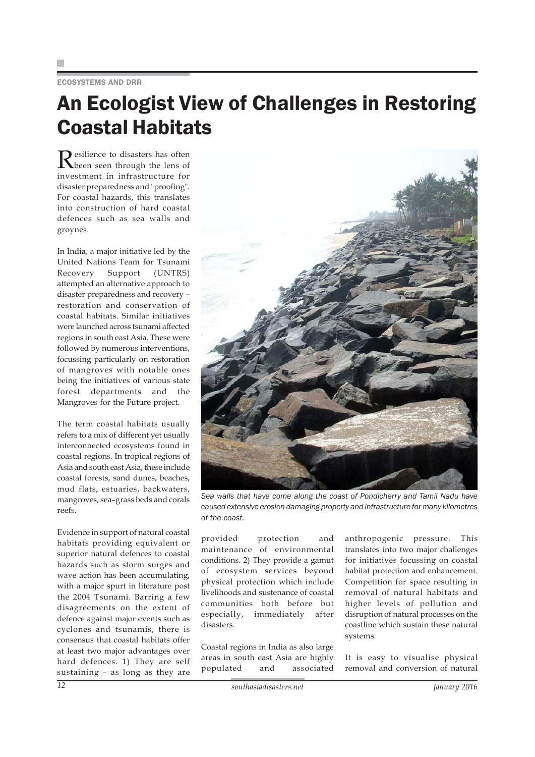### ECOSYSTEMS AND DRR

### An Ecologist View of Challenges in Restoring Coastal Habitats

Resilience to disasters has often<br>been seen through the lens of investment in infrastructure for disaster preparedness and "proofing". For coastal hazards, this translates into construction of hard coastal defences such as sea walls and groynes.

In India, a major initiative led by the United Nations Team for Tsunami Recovery Support (UNTRS) attempted an alternative approach to disaster preparedness and recovery – restoration and conservation of coastal habitats. Similar initiatives were launched across tsunami affected regions in south east Asia. These were followed by numerous interventions, focussing particularly on restoration of mangroves with notable ones being the initiatives of various state forest departments and the Mangroves for the Future project.

The term coastal habitats usually refers to a mix of different yet usually interconnected ecosystems found in coastal regions. In tropical regions of Asia and south east Asia, these include coastal forests, sand dunes, beaches, mud flats, estuaries, backwaters, mangroves, sea–grass beds and corals reefs.

Evidence in support of natural coastal habitats providing equivalent or superior natural defences to coastal hazards such as storm surges and wave action has been accumulating, with a major spurt in literature post the 2004 Tsunami. Barring a few disagreements on the extent of defence against major events such as cyclones and tsunamis, there is consensus that coastal habitats offer at least two major advantages over hard defences. 1) They are self sustaining – as long as they are



*Sea walls that have come along the coast of Pondicherry and Tamil Nadu have caused extensive erosion damaging property and infrastructure for many kilometres of the coast.*

provided protection and maintenance of environmental conditions. 2) They provide a gamut of ecosystem services beyond physical protection which include livelihoods and sustenance of coastal communities both before but especially, immediately after disasters.

Coastal regions in India as also large areas in south east Asia are highly populated and associated anthropogenic pressure. This translates into two major challenges for initiatives focussing on coastal habitat protection and enhancement. Competition for space resulting in removal of natural habitats and higher levels of pollution and disruption of natural processes on the coastline which sustain these natural systems.

It is easy to visualise physical removal and conversion of natural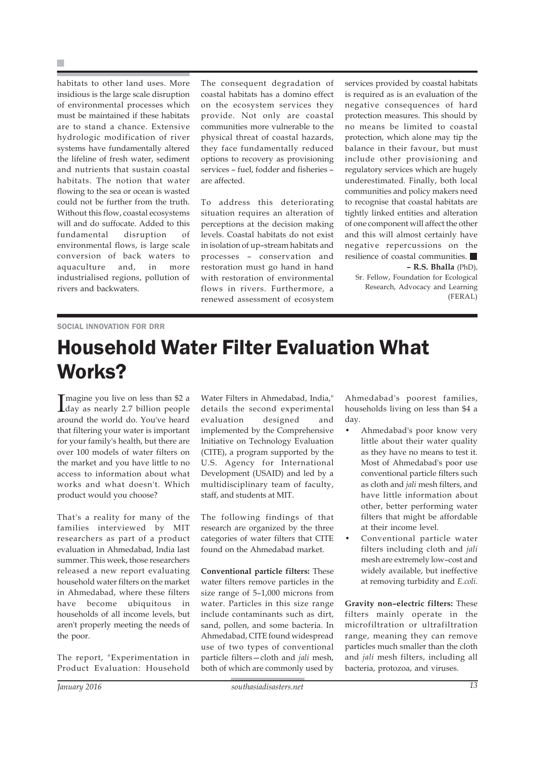F.

habitats to other land uses. More insidious is the large scale disruption of environmental processes which must be maintained if these habitats are to stand a chance. Extensive hydrologic modification of river systems have fundamentally altered the lifeline of fresh water, sediment and nutrients that sustain coastal habitats. The notion that water flowing to the sea or ocean is wasted could not be further from the truth. Without this flow, coastal ecosystems will and do suffocate. Added to this fundamental disruption of environmental flows, is large scale conversion of back waters to aquaculture and, in more industrialised regions, pollution of rivers and backwaters.

The consequent degradation of coastal habitats has a domino effect on the ecosystem services they provide. Not only are coastal communities more vulnerable to the physical threat of coastal hazards, they face fundamentally reduced options to recovery as provisioning services – fuel, fodder and fisheries – are affected.

To address this deteriorating situation requires an alteration of perceptions at the decision making levels. Coastal habitats do not exist in isolation of up–stream habitats and processes – conservation and restoration must go hand in hand with restoration of environmental flows in rivers. Furthermore, a renewed assessment of ecosystem

services provided by coastal habitats is required as is an evaluation of the negative consequences of hard protection measures. This should by no means be limited to coastal protection, which alone may tip the balance in their favour, but must include other provisioning and regulatory services which are hugely underestimated. Finally, both local communities and policy makers need to recognise that coastal habitats are tightly linked entities and alteration of one component will affect the other and this will almost certainly have negative repercussions on the resilience of coastal communities.

**– R.S. Bhalla** (PhD), Sr. Fellow, Foundation for Ecological Research, Advocacy and Learning (FERAL)

#### SOCIAL INNOVATION FOR DRR

# Household Water Filter Evaluation What Works?

Imagine you live on less than \$2 a<br>
day as nearly 2.7 billion people Tmagine you live on less than \$2 a around the world do. You've heard that filtering your water is important for your family's health, but there are over 100 models of water filters on the market and you have little to no access to information about what works and what doesn't. Which product would you choose?

That's a reality for many of the families interviewed by MIT researchers as part of a product evaluation in Ahmedabad, India last summer. This week, those researchers released a new report evaluating household water filters on the market in Ahmedabad, where these filters have become ubiquitous in households of all income levels, but aren't properly meeting the needs of the poor.

The report, "Experimentation in Product Evaluation: Household

Water Filters in Ahmedabad, India," details the second experimental evaluation designed and implemented by the Comprehensive Initiative on Technology Evaluation (CITE), a program supported by the U.S. Agency for International Development (USAID) and led by a multidisciplinary team of faculty, staff, and students at MIT.

The following findings of that research are organized by the three categories of water filters that CITE found on the Ahmedabad market.

**Conventional particle filters:** These water filters remove particles in the size range of 5–1,000 microns from water. Particles in this size range include contaminants such as dirt, sand, pollen, and some bacteria. In Ahmedabad, CITE found widespread use of two types of conventional particle filters—cloth and *jali* mesh, both of which are commonly used by

Ahmedabad's poorest families, households living on less than \$4 a day.

- Ahmedabad's poor know very little about their water quality as they have no means to test it. Most of Ahmedabad's poor use conventional particle filters such as cloth and *jali* mesh filters, and have little information about other, better performing water filters that might be affordable at their income level.
- Conventional particle water filters including cloth and *jali* mesh are extremely low–cost and widely available, but ineffective at removing turbidity and *E.coli.*

**Gravity non–electric filters:** These filters mainly operate in the microfiltration or ultrafiltration range, meaning they can remove particles much smaller than the cloth and *jali* mesh filters, including all bacteria, protozoa, and viruses.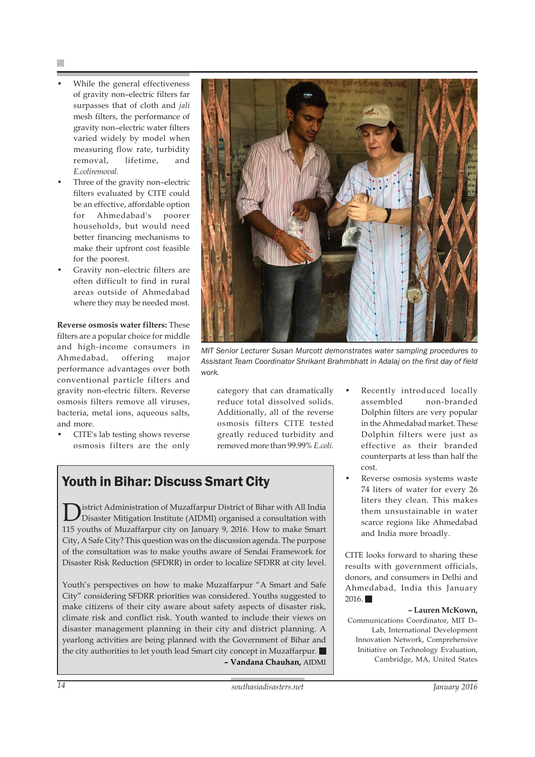- While the general effectiveness of gravity non–electric filters far surpasses that of cloth and *jali* mesh filters, the performance of gravity non–electric water filters varied widely by model when measuring flow rate, turbidity removal, lifetime, and *E.coliremoval.*
- Three of the gravity non-electric filters evaluated by CITE could be an effective, affordable option for Ahmedabad's poorer households, but would need better financing mechanisms to make their upfront cost feasible for the poorest.
- Gravity non–electric filters are often difficult to find in rural areas outside of Ahmedabad where they may be needed most.

**Reverse osmosis water filters:** These filters are a popular choice for middle and high-income consumers in Ahmedabad, offering major performance advantages over both conventional particle filters and gravity non-electric filters. Reverse osmosis filters remove all viruses, bacteria, metal ions, aqueous salts, and more.

• CITE's lab testing shows reverse osmosis filters are the only

![](_page_13_Picture_6.jpeg)

*MIT Senior Lecturer Susan Murcott demonstrates water sampling procedures to Assistant Team Coordinator Shrikant Brahmbhatt in Adalaj on the first day of field work.*

category that can dramatically reduce total dissolved solids. Additionally, all of the reverse osmosis filters CITE tested greatly reduced turbidity and removed more than 99.99% *E.coli.*

### Youth in Bihar: Discuss Smart City

District Administration of Muzaffarpur District of Bihar with All India<br>Disaster Mitigation Institute (AIDMI) organised a consultation with 115 youths of Muzaffarpur city on January 9, 2016. How to make Smart City, A Safe City? This question was on the discussion agenda. The purpose of the consultation was to make youths aware of Sendai Framework for Disaster Risk Reduction (SFDRR) in order to localize SFDRR at city level.

Youth's perspectives on how to make Muzaffarpur "A Smart and Safe City" considering SFDRR priorities was considered. Youths suggested to make citizens of their city aware about safety aspects of disaster risk, climate risk and conflict risk. Youth wanted to include their views on disaster management planning in their city and district planning. A yearlong activities are being planned with the Government of Bihar and the city authorities to let youth lead Smart city concept in Muzaffarpur. **– Vandana Chauhan,** AIDMI

- Recently introduced locally assembled non-branded Dolphin filters are very popular in the Ahmedabad market. These Dolphin filters were just as effective as their branded counterparts at less than half the cost.
- Reverse osmosis systems waste 74 liters of water for every 26 liters they clean. This makes them unsustainable in water scarce regions like Ahmedabad and India more broadly.

CITE looks forward to sharing these results with government officials, donors, and consumers in Delhi and Ahmedabad, India this January  $2016.$ 

#### **– Lauren McKown,**

Communications Coordinator, MIT D– Lab, International Development Innovation Network, Comprehensive Initiative on Technology Evaluation, Cambridge, MA, United States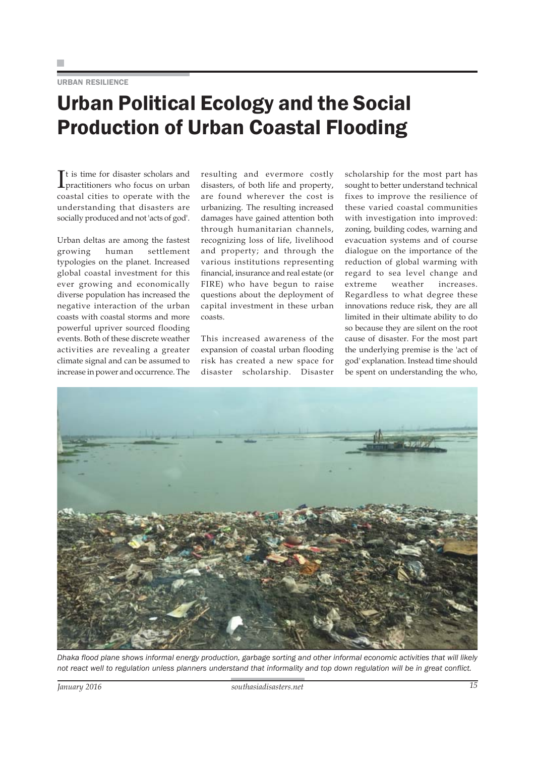URBAN RESILIENCE

# Urban Political Ecology and the Social Production of Urban Coastal Flooding

It is time for disaster scholars and<br>practitioners who focus on urban It is time for disaster scholars and coastal cities to operate with the understanding that disasters are socially produced and not 'acts of god'.

Urban deltas are among the fastest growing human settlement typologies on the planet. Increased global coastal investment for this ever growing and economically diverse population has increased the negative interaction of the urban coasts with coastal storms and more powerful upriver sourced flooding events. Both of these discrete weather activities are revealing a greater climate signal and can be assumed to increase in power and occurrence. The

resulting and evermore costly disasters, of both life and property, are found wherever the cost is urbanizing. The resulting increased damages have gained attention both through humanitarian channels, recognizing loss of life, livelihood and property; and through the various institutions representing financial, insurance and real estate (or FIRE) who have begun to raise questions about the deployment of capital investment in these urban coasts.

This increased awareness of the expansion of coastal urban flooding risk has created a new space for disaster scholarship. Disaster scholarship for the most part has sought to better understand technical fixes to improve the resilience of these varied coastal communities with investigation into improved: zoning, building codes, warning and evacuation systems and of course dialogue on the importance of the reduction of global warming with regard to sea level change and extreme weather increases. Regardless to what degree these innovations reduce risk, they are all limited in their ultimate ability to do so because they are silent on the root cause of disaster. For the most part the underlying premise is the 'act of god' explanation. Instead time should be spent on understanding the who,

![](_page_14_Picture_8.jpeg)

*Dhaka flood plane shows informal energy production, garbage sorting and other informal economic activities that will likely not react well to regulation unless planners understand that informality and top down regulation will be in great conflict.*